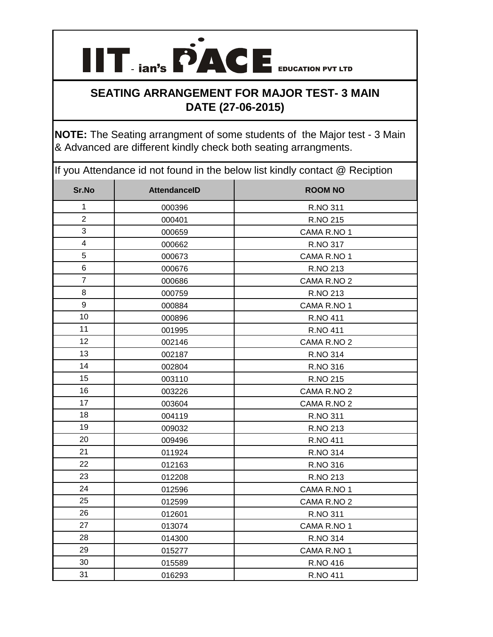

## **SEATING ARRANGEMENT FOR MAJOR TEST- 3 MAIN DATE (27-06-2015)**

**NOTE:** The Seating arrangment of some students of the Major test - 3 Main & Advanced are different kindly check both seating arrangments.

If you Attendance id not found in the below list kindly contact @ Reciption

| Sr.No            | <b>AttendanceID</b> | <b>ROOM NO</b>  |
|------------------|---------------------|-----------------|
| $\mathbf{1}$     | 000396              | R.NO 311        |
| $\overline{2}$   | 000401              | R.NO 215        |
| 3                | 000659              | CAMA R.NO 1     |
| 4                | 000662              | R.NO 317        |
| $\sqrt{5}$       | 000673              | CAMA R.NO 1     |
| $\,6\,$          | 000676              | R.NO 213        |
| $\overline{7}$   | 000686              | CAMA R.NO 2     |
| 8                | 000759              | R.NO 213        |
| $\boldsymbol{9}$ | 000884              | CAMA R.NO 1     |
| 10               | 000896              | <b>R.NO 411</b> |
| 11               | 001995              | R.NO 411        |
| 12               | 002146              | CAMA R.NO 2     |
| 13               | 002187              | <b>R.NO 314</b> |
| 14               | 002804              | R.NO 316        |
| 15               | 003110              | R.NO 215        |
| 16               | 003226              | CAMA R.NO 2     |
| 17               | 003604              | CAMA R.NO 2     |
| 18               | 004119              | R.NO 311        |
| 19               | 009032              | R.NO 213        |
| 20               | 009496              | <b>R.NO 411</b> |
| 21               | 011924              | <b>R.NO 314</b> |
| 22               | 012163              | R.NO 316        |
| 23               | 012208              | R.NO 213        |
| 24               | 012596              | CAMA R.NO 1     |
| 25               | 012599              | CAMA R.NO 2     |
| 26               | 012601              | R.NO 311        |
| 27               | 013074              | CAMA R.NO 1     |
| 28               | 014300              | R.NO 314        |
| 29               | 015277              | CAMA R.NO 1     |
| 30               | 015589              | R.NO 416        |
| 31               | 016293              | R.NO 411        |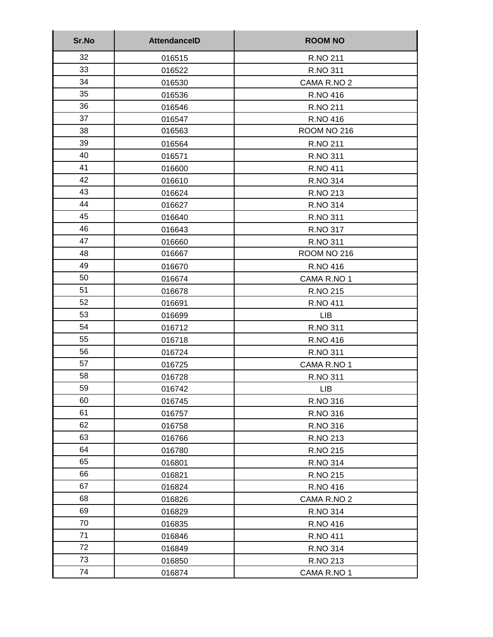| Sr.No | <b>AttendanceID</b> | <b>ROOM NO</b>  |
|-------|---------------------|-----------------|
| 32    | 016515              | R.NO 211        |
| 33    | 016522              | R.NO 311        |
| 34    | 016530              | CAMA R.NO 2     |
| 35    | 016536              | R.NO 416        |
| 36    | 016546              | R.NO 211        |
| 37    | 016547              | R.NO 416        |
| 38    | 016563              | ROOM NO 216     |
| 39    | 016564              | R.NO 211        |
| 40    | 016571              | R.NO 311        |
| 41    | 016600              | <b>R.NO 411</b> |
| 42    | 016610              | R.NO 314        |
| 43    | 016624              | R.NO 213        |
| 44    | 016627              | R.NO 314        |
| 45    | 016640              | R.NO 311        |
| 46    | 016643              | R.NO 317        |
| 47    | 016660              | R.NO 311        |
| 48    | 016667              | ROOM NO 216     |
| 49    | 016670              | R.NO 416        |
| 50    | 016674              | CAMA R.NO 1     |
| 51    | 016678              | R.NO 215        |
| 52    | 016691              | <b>R.NO 411</b> |
| 53    | 016699              | <b>LIB</b>      |
| 54    | 016712              | R.NO 311        |
| 55    | 016718              | R.NO 416        |
| 56    | 016724              | R.NO 311        |
| 57    | 016725              | CAMA R.NO 1     |
| 58    | 016728              | R.NO 311        |
| 59    | 016742              | LIB.            |
| 60    | 016745              | R.NO 316        |
| 61    | 016757              | R.NO 316        |
| 62    | 016758              | R.NO 316        |
| 63    | 016766              | R.NO 213        |
| 64    | 016780              | R.NO 215        |
| 65    | 016801              | R.NO 314        |
| 66    | 016821              | R.NO 215        |
| 67    | 016824              | R.NO 416        |
| 68    | 016826              | CAMA R.NO 2     |
| 69    | 016829              | R.NO 314        |
| 70    | 016835              | R.NO 416        |
| 71    | 016846              | R.NO 411        |
| 72    | 016849              | R.NO 314        |
| 73    | 016850              | R.NO 213        |
| 74    | 016874              | CAMA R.NO 1     |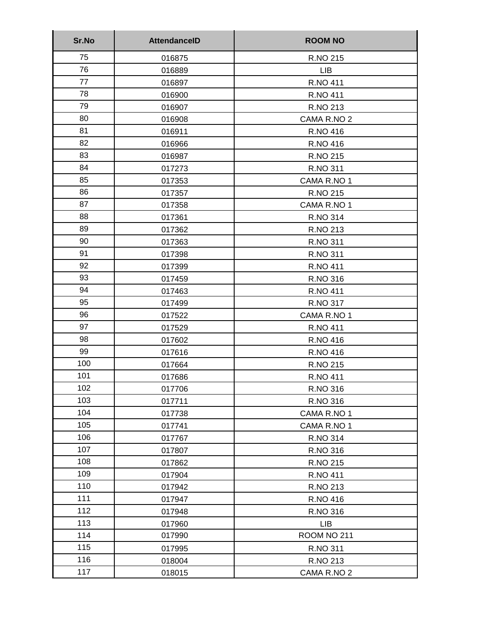| Sr.No | <b>AttendanceID</b> | <b>ROOM NO</b>  |
|-------|---------------------|-----------------|
| 75    | 016875              | R.NO 215        |
| 76    | 016889              | <b>LIB</b>      |
| 77    | 016897              | R.NO 411        |
| 78    | 016900              | R.NO 411        |
| 79    | 016907              | R.NO 213        |
| 80    | 016908              | CAMA R.NO 2     |
| 81    | 016911              | R.NO 416        |
| 82    | 016966              | R.NO 416        |
| 83    | 016987              | R.NO 215        |
| 84    | 017273              | R.NO 311        |
| 85    | 017353              | CAMA R.NO 1     |
| 86    | 017357              | R.NO 215        |
| 87    | 017358              | CAMA R.NO 1     |
| 88    | 017361              | R.NO 314        |
| 89    | 017362              | R.NO 213        |
| 90    | 017363              | R.NO 311        |
| 91    | 017398              | R.NO 311        |
| 92    | 017399              | R.NO 411        |
| 93    | 017459              | R.NO 316        |
| 94    | 017463              | <b>R.NO 411</b> |
| 95    | 017499              | R.NO 317        |
| 96    | 017522              | CAMA R.NO 1     |
| 97    | 017529              | R.NO 411        |
| 98    | 017602              | R.NO 416        |
| 99    | 017616              | R.NO 416        |
| 100   | 017664              | R.NO 215        |
| 101   | 017686              | <b>R.NO 411</b> |
| 102   | 017706              | R.NO 316        |
| 103   | 017711              | R.NO 316        |
| 104   | 017738              | CAMA R.NO 1     |
| 105   | 017741              | CAMA R.NO 1     |
| 106   | 017767              | R.NO 314        |
| 107   | 017807              | R.NO 316        |
| 108   | 017862              | R.NO 215        |
| 109   | 017904              | <b>R.NO 411</b> |
| 110   | 017942              | R.NO 213        |
| 111   | 017947              | R.NO 416        |
| 112   | 017948              | R.NO 316        |
| 113   | 017960              | <b>LIB</b>      |
| 114   | 017990              | ROOM NO 211     |
| 115   | 017995              | R.NO 311        |
| 116   | 018004              | R.NO 213        |
| 117   | 018015              | CAMA R.NO 2     |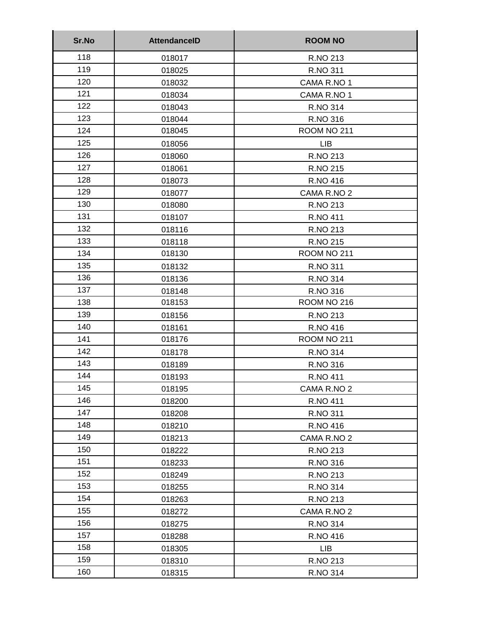| Sr.No | <b>AttendanceID</b> | <b>ROOM NO</b> |
|-------|---------------------|----------------|
| 118   | 018017              | R.NO 213       |
| 119   | 018025              | R.NO 311       |
| 120   | 018032              | CAMA R.NO 1    |
| 121   | 018034              | CAMA R.NO 1    |
| 122   | 018043              | R.NO 314       |
| 123   | 018044              | R.NO 316       |
| 124   | 018045              | ROOM NO 211    |
| 125   | 018056              | <b>LIB</b>     |
| 126   | 018060              | R.NO 213       |
| 127   | 018061              | R.NO 215       |
| 128   | 018073              | R.NO 416       |
| 129   | 018077              | CAMA R.NO 2    |
| 130   | 018080              | R.NO 213       |
| 131   | 018107              | R.NO 411       |
| 132   | 018116              | R.NO 213       |
| 133   | 018118              | R.NO 215       |
| 134   | 018130              | ROOM NO 211    |
| 135   | 018132              | R.NO 311       |
| 136   | 018136              | R.NO 314       |
| 137   | 018148              | R.NO 316       |
| 138   | 018153              | ROOM NO 216    |
| 139   | 018156              | R.NO 213       |
| 140   | 018161              | R.NO 416       |
| 141   | 018176              | ROOM NO 211    |
| 142   | 018178              | R.NO 314       |
| 143   | 018189              | R.NO 316       |
| 144   | 018193              | R.NO 411       |
| 145   | 018195              | CAMA R.NO 2    |
| 146   | 018200              | R.NO 411       |
| 147   | 018208              | R.NO 311       |
| 148   | 018210              | R.NO 416       |
| 149   | 018213              | CAMA R.NO 2    |
| 150   | 018222              | R.NO 213       |
| 151   | 018233              | R.NO 316       |
| 152   | 018249              | R.NO 213       |
| 153   | 018255              | R.NO 314       |
| 154   | 018263              | R.NO 213       |
| 155   | 018272              | CAMA R.NO 2    |
| 156   | 018275              | R.NO 314       |
| 157   | 018288              | R.NO 416       |
| 158   | 018305              | <b>LIB</b>     |
| 159   | 018310              | R.NO 213       |
| 160   | 018315              | R.NO 314       |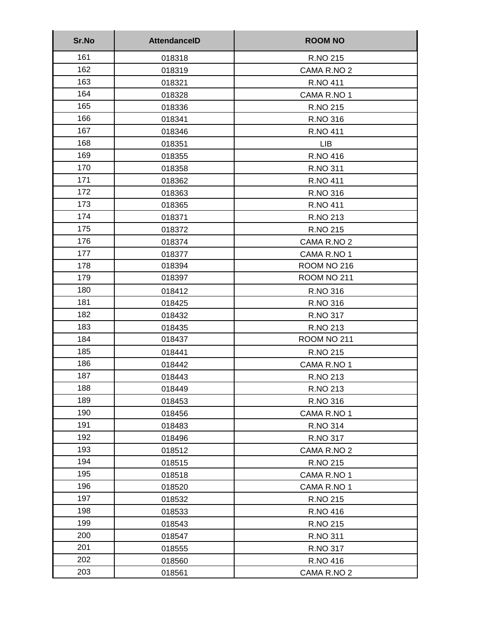| Sr.No | <b>AttendanceID</b> | <b>ROOM NO</b>  |
|-------|---------------------|-----------------|
| 161   | 018318              | R.NO 215        |
| 162   | 018319              | CAMA R.NO 2     |
| 163   | 018321              | <b>R.NO 411</b> |
| 164   | 018328              | CAMA R.NO 1     |
| 165   | 018336              | R.NO 215        |
| 166   | 018341              | R.NO 316        |
| 167   | 018346              | <b>R.NO 411</b> |
| 168   | 018351              | <b>LIB</b>      |
| 169   | 018355              | R.NO 416        |
| 170   | 018358              | R.NO 311        |
| 171   | 018362              | R.NO 411        |
| 172   | 018363              | R.NO 316        |
| 173   | 018365              | <b>R.NO 411</b> |
| 174   | 018371              | R.NO 213        |
| 175   | 018372              | R.NO 215        |
| 176   | 018374              | CAMA R.NO 2     |
| 177   | 018377              | CAMA R.NO 1     |
| 178   | 018394              | ROOM NO 216     |
| 179   | 018397              | ROOM NO 211     |
| 180   | 018412              | R.NO 316        |
| 181   | 018425              | R.NO 316        |
| 182   | 018432              | R.NO 317        |
| 183   | 018435              | R.NO 213        |
| 184   | 018437              | ROOM NO 211     |
| 185   | 018441              | R.NO 215        |
| 186   | 018442              | CAMA R.NO 1     |
| 187   | 018443              | R.NO 213        |
| 188   | 018449              | R.NO 213        |
| 189   | 018453              | R.NO 316        |
| 190   | 018456              | CAMA R.NO 1     |
| 191   | 018483              | R.NO 314        |
| 192   | 018496              | R.NO 317        |
| 193   | 018512              | CAMA R.NO 2     |
| 194   | 018515              | R.NO 215        |
| 195   | 018518              | CAMA R.NO 1     |
| 196   | 018520              | CAMA R.NO 1     |
| 197   | 018532              | R.NO 215        |
| 198   | 018533              | R.NO 416        |
| 199   | 018543              | R.NO 215        |
| 200   | 018547              | R.NO 311        |
| 201   | 018555              | R.NO 317        |
| 202   | 018560              | R.NO 416        |
| 203   | 018561              | CAMA R.NO 2     |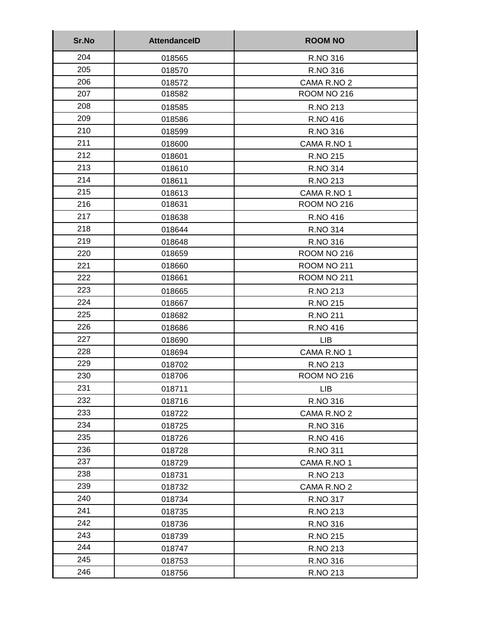| Sr.No | <b>AttendanceID</b> | <b>ROOM NO</b> |
|-------|---------------------|----------------|
| 204   | 018565              | R.NO 316       |
| 205   | 018570              | R.NO 316       |
| 206   | 018572              | CAMA R.NO 2    |
| 207   | 018582              | ROOM NO 216    |
| 208   | 018585              | R.NO 213       |
| 209   | 018586              | R.NO 416       |
| 210   | 018599              | R.NO 316       |
| 211   | 018600              | CAMA R.NO 1    |
| 212   | 018601              | R.NO 215       |
| 213   | 018610              | R.NO 314       |
| 214   | 018611              | R.NO 213       |
| 215   | 018613              | CAMA R.NO 1    |
| 216   | 018631              | ROOM NO 216    |
| 217   | 018638              | R.NO 416       |
| 218   | 018644              | R.NO 314       |
| 219   | 018648              | R.NO 316       |
| 220   | 018659              | ROOM NO 216    |
| 221   | 018660              | ROOM NO 211    |
| 222   | 018661              | ROOM NO 211    |
| 223   | 018665              | R.NO 213       |
| 224   | 018667              | R.NO 215       |
| 225   | 018682              | R.NO 211       |
| 226   | 018686              | R.NO 416       |
| 227   | 018690              | <b>LIB</b>     |
| 228   | 018694              | CAMA R.NO 1    |
| 229   | 018702              | R.NO 213       |
| 230   | 018706              | ROOM NO 216    |
| 231   | 018711              | <b>LIB</b>     |
| 232   | 018716              | R.NO 316       |
| 233   | 018722              | CAMA R.NO 2    |
| 234   | 018725              | R.NO 316       |
| 235   | 018726              | R.NO 416       |
| 236   | 018728              | R.NO 311       |
| 237   | 018729              | CAMA R.NO 1    |
| 238   | 018731              | R.NO 213       |
| 239   | 018732              | CAMA R.NO 2    |
| 240   | 018734              | R.NO 317       |
| 241   | 018735              | R.NO 213       |
| 242   | 018736              | R.NO 316       |
| 243   | 018739              | R.NO 215       |
| 244   | 018747              | R.NO 213       |
| 245   | 018753              | R.NO 316       |
| 246   | 018756              | R.NO 213       |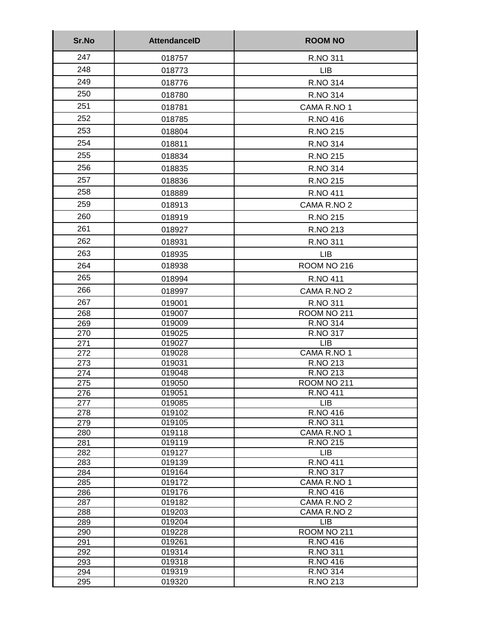| Sr.No                           | <b>AttendanceID</b>                            | <b>ROOM NO</b>                                           |
|---------------------------------|------------------------------------------------|----------------------------------------------------------|
| 247                             | 018757                                         | R.NO 311                                                 |
| 248                             | 018773                                         | <b>LIB</b>                                               |
| 249                             | 018776                                         | R.NO 314                                                 |
| 250                             | 018780                                         | R.NO 314                                                 |
| 251                             |                                                |                                                          |
|                                 | 018781                                         | CAMA R.NO 1                                              |
| 252                             | 018785                                         | R.NO 416                                                 |
| 253                             | 018804                                         | R.NO 215                                                 |
| 254                             | 018811                                         | <b>R.NO 314</b>                                          |
| 255                             | 018834                                         | R.NO 215                                                 |
| 256                             | 018835                                         | <b>R.NO 314</b>                                          |
| 257                             | 018836                                         | R.NO 215                                                 |
| 258                             | 018889                                         | <b>R.NO 411</b>                                          |
| 259                             | 018913                                         | CAMA R.NO 2                                              |
| 260                             |                                                |                                                          |
|                                 | 018919                                         | R.NO 215                                                 |
| 261                             | 018927                                         | R.NO 213                                                 |
| 262                             | 018931                                         | R.NO 311                                                 |
| 263                             | 018935                                         | <b>LIB</b>                                               |
| 264                             | 018938                                         | ROOM NO 216                                              |
| 265                             | 018994                                         | R.NO 411                                                 |
| 266                             | 018997                                         | CAMA R.NO 2                                              |
| 267                             | 019001                                         | R.NO 311                                                 |
| 268                             | 019007                                         | ROOM NO 211                                              |
| 269                             | 019009                                         | <b>R.NO 314</b>                                          |
| 270                             | 019025                                         | R.NO 317                                                 |
| 271                             | 019027                                         | <b>LIB</b>                                               |
| 272                             | 019028                                         | CAMA R.NO 1                                              |
| 273<br>274                      | 019031                                         | R.NO 213<br>R.NO 213                                     |
| 275                             | 019048<br>019050                               | ROOM NO 211                                              |
| 276                             | 019051                                         | R.NO 411                                                 |
| 277                             | 019085                                         | <b>LIB</b>                                               |
| 278                             | 019102                                         | R.NO 416                                                 |
| 279                             | 019105                                         | R.NO 311                                                 |
| 280                             | 019118                                         | CAMA R.NO 1                                              |
| 281                             | 019119                                         | R.NO 215                                                 |
| 282                             | 019127                                         | <b>LIB</b>                                               |
| 283<br>284                      | 019139<br>019164                               | <b>R.NO 411</b><br>R.NO 317                              |
| 285                             | 019172                                         | CAMA R.NO 1                                              |
| 286                             | 019176                                         | R.NO 416                                                 |
| 287                             | 019182                                         | CAMA R.NO 2                                              |
| 288                             | 019203                                         | CAMA R.NO 2                                              |
| 289                             | 019204                                         | <b>LIB</b>                                               |
| 290                             | 019228                                         | ROOM NO 211                                              |
|                                 |                                                |                                                          |
|                                 |                                                |                                                          |
|                                 |                                                |                                                          |
|                                 |                                                |                                                          |
| 291<br>292<br>293<br>294<br>295 | 019261<br>019314<br>019318<br>019319<br>019320 | R.NO 416<br>R.NO 311<br>R.NO 416<br>R.NO 314<br>R.NO 213 |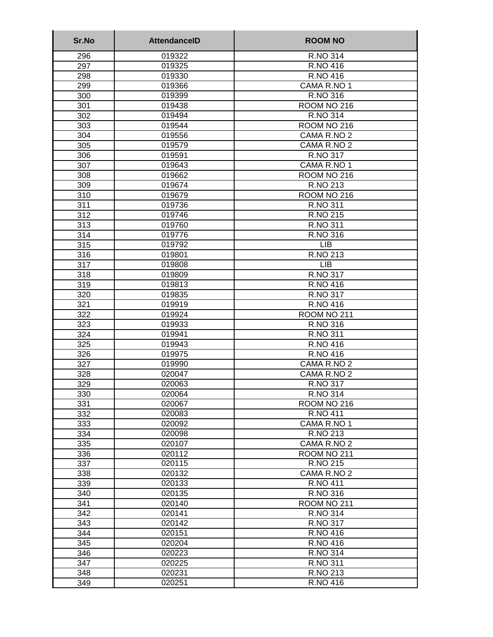| Sr.No      | <b>AttendancelD</b> | <b>ROOM NO</b>             |
|------------|---------------------|----------------------------|
| 296        | 019322              | R.NO 314                   |
| 297        | 019325              | R.NO 416                   |
| 298        | 019330              | R.NO 416                   |
| 299        | 019366              | CAMA R.NO 1                |
| 300        | 019399              | R.NO 316                   |
| 301        | 019438              | ROOM NO 216                |
| 302        | 019494              | <b>R.NO 314</b>            |
| 303        | 019544              | ROOM NO 216                |
| 304        | 019556              | CAMA R.NO 2                |
| 305        | 019579              | CAMA R.NO 2                |
| 306        | 019591              | R.NO 317                   |
| 307        | 019643              | CAMA R.NO 1                |
| 308        | 019662              | ROOM NO 216                |
| 309        | 019674              | R.NO 213                   |
| 310        | 019679              | ROOM NO 216                |
| 311        | 019736              | R.NO 311                   |
| 312        | 019746              | R.NO 215                   |
| 313        | 019760              | R.NO 311                   |
| 314        | 019776              | R.NO 316                   |
| 315        | 019792              | <b>LIB</b>                 |
| 316        | 019801              | R.NO 213                   |
| 317        | 019808              | <b>LIB</b>                 |
| 318        | 019809              | R.NO 317                   |
| 319        | 019813              | R.NO 416                   |
| 320        | 019835              | R.NO 317                   |
| 321        | 019919              | R.NO 416                   |
| 322        | 019924              | ROOM NO 211                |
| 323        | 019933              | R.NO 316                   |
| 324        | 019941              | R.NO 311                   |
| 325        | 019943<br>019975    | R.NO 416                   |
| 326        | 019990              | R.NO 416                   |
| 327        | 020047              | CAMA R.NO 2<br>CAMA R.NO 2 |
| 328<br>329 | 020063              | R.NO 317                   |
| 330        | 020064              | R.NO 314                   |
| 331        | 020067              | ROOM NO 216                |
| 332        | 020083              | <b>R.NO 411</b>            |
| 333        | 020092              | CAMA R.NO 1                |
| 334        | 020098              | R.NO 213                   |
| 335        | 020107              | CAMA R.NO 2                |
| 336        | 020112              | <b>ROOM NO 211</b>         |
| 337        | 020115              | R.NO 215                   |
| 338        | 020132              | CAMA R.NO 2                |
| 339        | 020133              | R.NO 411                   |
| 340        | 020135              | R.NO 316                   |
| 341        | 020140              | ROOM NO 211                |
| 342        | 020141              | R.NO 314                   |
| 343        | 020142              | R.NO 317                   |
| 344        | 020151              | R.NO 416                   |
| 345        | 020204              | R.NO 416                   |
| 346        | 020223              | R.NO 314                   |
| 347        | 020225              | R.NO 311                   |
| 348        | 020231              | R.NO 213                   |
| 349        | 020251              | R.NO 416                   |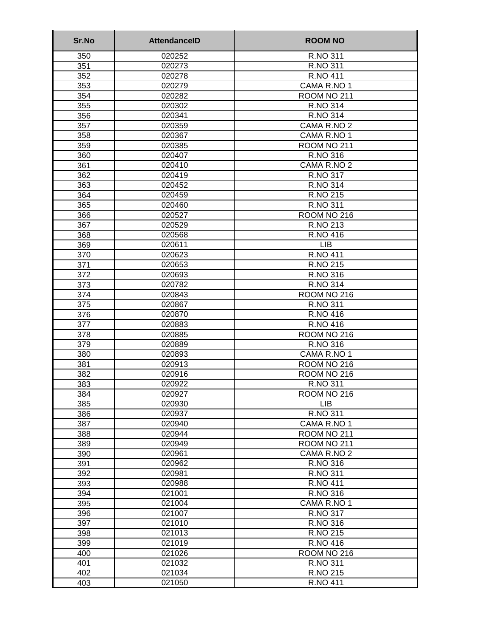| 350<br>R.NO 311<br>020252<br>351<br>020273<br>R.NO 311<br><b>R.NO 411</b><br>352<br>020278<br>CAMA R.NO 1<br>353<br>020279<br>354<br>ROOM NO 211<br>020282<br>355<br>020302<br><b>R.NO 314</b><br><b>R.NO 314</b><br>356<br>020341<br>020359<br>CAMA R.NO 2<br>357<br>358<br>CAMA R.NO 1<br>020367<br>359<br>ROOM NO 211<br>020385<br>360<br>020407<br>R.NO 316<br>CAMA R.NO 2<br>361<br>020410<br>362<br>020419<br>R.NO 317<br>R.NO 314<br>363<br>020452<br>R.NO 215<br>364<br>020459<br>365<br>020460<br>R.NO 311<br>366<br>ROOM NO 216<br>020527<br>R.NO 213<br>367<br>020529<br>R.NO 416<br>368<br>020568<br>369<br><b>LIB</b><br>020611<br>370<br><b>R.NO 411</b><br>020623<br>371<br>R.NO 215<br>020653<br>372<br>R.NO 316<br>020693<br>373<br>020782<br><b>R.NO 314</b><br>374<br>ROOM NO 216<br>020843<br>375<br>R.NO 311<br>020867<br>376<br>020870<br>R.NO 416<br>R.NO 416<br>377<br>020883<br>ROOM NO 216<br>378<br>020885<br>R.NO 316<br>379<br>020889<br>CAMA R.NO 1<br>380<br>020893<br>381<br>020913<br>ROOM NO 216<br>382<br>020916<br>ROOM NO 216<br>383<br>020922<br>R.NO 311<br>020927<br>ROOM NO 216<br>384<br><b>LIB</b><br>385<br>020930<br>R.NO 311<br>386<br>020937<br>CAMA R.NO 1<br>387<br>020940<br>388<br>020944<br>ROOM NO 211<br>389<br>020949<br>ROOM NO 211<br>390<br>020961<br>CAMA R.NO 2<br>020962<br>R.NO 316<br>391<br>392<br>020981<br>R.NO 311<br>393<br><b>R.NO 411</b><br>020988<br>394<br>R.NO 316<br>021001<br>395<br>021004<br>CAMA R.NO 1<br>396<br>R.NO 317<br>021007<br>397<br>R.NO 316<br>021010<br>398<br>021013<br>R.NO 215<br>399<br>021019<br>R.NO 416<br>400<br>021026<br>ROOM NO 216<br>401<br>021032<br>R.NO 311<br>R.NO 215<br>021034<br>402 | Sr.No | <b>AttendancelD</b> | <b>ROOM NO</b> |
|------------------------------------------------------------------------------------------------------------------------------------------------------------------------------------------------------------------------------------------------------------------------------------------------------------------------------------------------------------------------------------------------------------------------------------------------------------------------------------------------------------------------------------------------------------------------------------------------------------------------------------------------------------------------------------------------------------------------------------------------------------------------------------------------------------------------------------------------------------------------------------------------------------------------------------------------------------------------------------------------------------------------------------------------------------------------------------------------------------------------------------------------------------------------------------------------------------------------------------------------------------------------------------------------------------------------------------------------------------------------------------------------------------------------------------------------------------------------------------------------------------------------------------------------------------------------------------------------------------------------------------------------------------------------------------------------------|-------|---------------------|----------------|
|                                                                                                                                                                                                                                                                                                                                                                                                                                                                                                                                                                                                                                                                                                                                                                                                                                                                                                                                                                                                                                                                                                                                                                                                                                                                                                                                                                                                                                                                                                                                                                                                                                                                                                      |       |                     |                |
|                                                                                                                                                                                                                                                                                                                                                                                                                                                                                                                                                                                                                                                                                                                                                                                                                                                                                                                                                                                                                                                                                                                                                                                                                                                                                                                                                                                                                                                                                                                                                                                                                                                                                                      |       |                     |                |
|                                                                                                                                                                                                                                                                                                                                                                                                                                                                                                                                                                                                                                                                                                                                                                                                                                                                                                                                                                                                                                                                                                                                                                                                                                                                                                                                                                                                                                                                                                                                                                                                                                                                                                      |       |                     |                |
|                                                                                                                                                                                                                                                                                                                                                                                                                                                                                                                                                                                                                                                                                                                                                                                                                                                                                                                                                                                                                                                                                                                                                                                                                                                                                                                                                                                                                                                                                                                                                                                                                                                                                                      |       |                     |                |
|                                                                                                                                                                                                                                                                                                                                                                                                                                                                                                                                                                                                                                                                                                                                                                                                                                                                                                                                                                                                                                                                                                                                                                                                                                                                                                                                                                                                                                                                                                                                                                                                                                                                                                      |       |                     |                |
|                                                                                                                                                                                                                                                                                                                                                                                                                                                                                                                                                                                                                                                                                                                                                                                                                                                                                                                                                                                                                                                                                                                                                                                                                                                                                                                                                                                                                                                                                                                                                                                                                                                                                                      |       |                     |                |
|                                                                                                                                                                                                                                                                                                                                                                                                                                                                                                                                                                                                                                                                                                                                                                                                                                                                                                                                                                                                                                                                                                                                                                                                                                                                                                                                                                                                                                                                                                                                                                                                                                                                                                      |       |                     |                |
|                                                                                                                                                                                                                                                                                                                                                                                                                                                                                                                                                                                                                                                                                                                                                                                                                                                                                                                                                                                                                                                                                                                                                                                                                                                                                                                                                                                                                                                                                                                                                                                                                                                                                                      |       |                     |                |
|                                                                                                                                                                                                                                                                                                                                                                                                                                                                                                                                                                                                                                                                                                                                                                                                                                                                                                                                                                                                                                                                                                                                                                                                                                                                                                                                                                                                                                                                                                                                                                                                                                                                                                      |       |                     |                |
|                                                                                                                                                                                                                                                                                                                                                                                                                                                                                                                                                                                                                                                                                                                                                                                                                                                                                                                                                                                                                                                                                                                                                                                                                                                                                                                                                                                                                                                                                                                                                                                                                                                                                                      |       |                     |                |
|                                                                                                                                                                                                                                                                                                                                                                                                                                                                                                                                                                                                                                                                                                                                                                                                                                                                                                                                                                                                                                                                                                                                                                                                                                                                                                                                                                                                                                                                                                                                                                                                                                                                                                      |       |                     |                |
|                                                                                                                                                                                                                                                                                                                                                                                                                                                                                                                                                                                                                                                                                                                                                                                                                                                                                                                                                                                                                                                                                                                                                                                                                                                                                                                                                                                                                                                                                                                                                                                                                                                                                                      |       |                     |                |
|                                                                                                                                                                                                                                                                                                                                                                                                                                                                                                                                                                                                                                                                                                                                                                                                                                                                                                                                                                                                                                                                                                                                                                                                                                                                                                                                                                                                                                                                                                                                                                                                                                                                                                      |       |                     |                |
|                                                                                                                                                                                                                                                                                                                                                                                                                                                                                                                                                                                                                                                                                                                                                                                                                                                                                                                                                                                                                                                                                                                                                                                                                                                                                                                                                                                                                                                                                                                                                                                                                                                                                                      |       |                     |                |
|                                                                                                                                                                                                                                                                                                                                                                                                                                                                                                                                                                                                                                                                                                                                                                                                                                                                                                                                                                                                                                                                                                                                                                                                                                                                                                                                                                                                                                                                                                                                                                                                                                                                                                      |       |                     |                |
|                                                                                                                                                                                                                                                                                                                                                                                                                                                                                                                                                                                                                                                                                                                                                                                                                                                                                                                                                                                                                                                                                                                                                                                                                                                                                                                                                                                                                                                                                                                                                                                                                                                                                                      |       |                     |                |
|                                                                                                                                                                                                                                                                                                                                                                                                                                                                                                                                                                                                                                                                                                                                                                                                                                                                                                                                                                                                                                                                                                                                                                                                                                                                                                                                                                                                                                                                                                                                                                                                                                                                                                      |       |                     |                |
|                                                                                                                                                                                                                                                                                                                                                                                                                                                                                                                                                                                                                                                                                                                                                                                                                                                                                                                                                                                                                                                                                                                                                                                                                                                                                                                                                                                                                                                                                                                                                                                                                                                                                                      |       |                     |                |
|                                                                                                                                                                                                                                                                                                                                                                                                                                                                                                                                                                                                                                                                                                                                                                                                                                                                                                                                                                                                                                                                                                                                                                                                                                                                                                                                                                                                                                                                                                                                                                                                                                                                                                      |       |                     |                |
|                                                                                                                                                                                                                                                                                                                                                                                                                                                                                                                                                                                                                                                                                                                                                                                                                                                                                                                                                                                                                                                                                                                                                                                                                                                                                                                                                                                                                                                                                                                                                                                                                                                                                                      |       |                     |                |
|                                                                                                                                                                                                                                                                                                                                                                                                                                                                                                                                                                                                                                                                                                                                                                                                                                                                                                                                                                                                                                                                                                                                                                                                                                                                                                                                                                                                                                                                                                                                                                                                                                                                                                      |       |                     |                |
|                                                                                                                                                                                                                                                                                                                                                                                                                                                                                                                                                                                                                                                                                                                                                                                                                                                                                                                                                                                                                                                                                                                                                                                                                                                                                                                                                                                                                                                                                                                                                                                                                                                                                                      |       |                     |                |
|                                                                                                                                                                                                                                                                                                                                                                                                                                                                                                                                                                                                                                                                                                                                                                                                                                                                                                                                                                                                                                                                                                                                                                                                                                                                                                                                                                                                                                                                                                                                                                                                                                                                                                      |       |                     |                |
|                                                                                                                                                                                                                                                                                                                                                                                                                                                                                                                                                                                                                                                                                                                                                                                                                                                                                                                                                                                                                                                                                                                                                                                                                                                                                                                                                                                                                                                                                                                                                                                                                                                                                                      |       |                     |                |
|                                                                                                                                                                                                                                                                                                                                                                                                                                                                                                                                                                                                                                                                                                                                                                                                                                                                                                                                                                                                                                                                                                                                                                                                                                                                                                                                                                                                                                                                                                                                                                                                                                                                                                      |       |                     |                |
|                                                                                                                                                                                                                                                                                                                                                                                                                                                                                                                                                                                                                                                                                                                                                                                                                                                                                                                                                                                                                                                                                                                                                                                                                                                                                                                                                                                                                                                                                                                                                                                                                                                                                                      |       |                     |                |
|                                                                                                                                                                                                                                                                                                                                                                                                                                                                                                                                                                                                                                                                                                                                                                                                                                                                                                                                                                                                                                                                                                                                                                                                                                                                                                                                                                                                                                                                                                                                                                                                                                                                                                      |       |                     |                |
|                                                                                                                                                                                                                                                                                                                                                                                                                                                                                                                                                                                                                                                                                                                                                                                                                                                                                                                                                                                                                                                                                                                                                                                                                                                                                                                                                                                                                                                                                                                                                                                                                                                                                                      |       |                     |                |
|                                                                                                                                                                                                                                                                                                                                                                                                                                                                                                                                                                                                                                                                                                                                                                                                                                                                                                                                                                                                                                                                                                                                                                                                                                                                                                                                                                                                                                                                                                                                                                                                                                                                                                      |       |                     |                |
|                                                                                                                                                                                                                                                                                                                                                                                                                                                                                                                                                                                                                                                                                                                                                                                                                                                                                                                                                                                                                                                                                                                                                                                                                                                                                                                                                                                                                                                                                                                                                                                                                                                                                                      |       |                     |                |
|                                                                                                                                                                                                                                                                                                                                                                                                                                                                                                                                                                                                                                                                                                                                                                                                                                                                                                                                                                                                                                                                                                                                                                                                                                                                                                                                                                                                                                                                                                                                                                                                                                                                                                      |       |                     |                |
|                                                                                                                                                                                                                                                                                                                                                                                                                                                                                                                                                                                                                                                                                                                                                                                                                                                                                                                                                                                                                                                                                                                                                                                                                                                                                                                                                                                                                                                                                                                                                                                                                                                                                                      |       |                     |                |
|                                                                                                                                                                                                                                                                                                                                                                                                                                                                                                                                                                                                                                                                                                                                                                                                                                                                                                                                                                                                                                                                                                                                                                                                                                                                                                                                                                                                                                                                                                                                                                                                                                                                                                      |       |                     |                |
|                                                                                                                                                                                                                                                                                                                                                                                                                                                                                                                                                                                                                                                                                                                                                                                                                                                                                                                                                                                                                                                                                                                                                                                                                                                                                                                                                                                                                                                                                                                                                                                                                                                                                                      |       |                     |                |
|                                                                                                                                                                                                                                                                                                                                                                                                                                                                                                                                                                                                                                                                                                                                                                                                                                                                                                                                                                                                                                                                                                                                                                                                                                                                                                                                                                                                                                                                                                                                                                                                                                                                                                      |       |                     |                |
|                                                                                                                                                                                                                                                                                                                                                                                                                                                                                                                                                                                                                                                                                                                                                                                                                                                                                                                                                                                                                                                                                                                                                                                                                                                                                                                                                                                                                                                                                                                                                                                                                                                                                                      |       |                     |                |
|                                                                                                                                                                                                                                                                                                                                                                                                                                                                                                                                                                                                                                                                                                                                                                                                                                                                                                                                                                                                                                                                                                                                                                                                                                                                                                                                                                                                                                                                                                                                                                                                                                                                                                      |       |                     |                |
|                                                                                                                                                                                                                                                                                                                                                                                                                                                                                                                                                                                                                                                                                                                                                                                                                                                                                                                                                                                                                                                                                                                                                                                                                                                                                                                                                                                                                                                                                                                                                                                                                                                                                                      |       |                     |                |
|                                                                                                                                                                                                                                                                                                                                                                                                                                                                                                                                                                                                                                                                                                                                                                                                                                                                                                                                                                                                                                                                                                                                                                                                                                                                                                                                                                                                                                                                                                                                                                                                                                                                                                      |       |                     |                |
|                                                                                                                                                                                                                                                                                                                                                                                                                                                                                                                                                                                                                                                                                                                                                                                                                                                                                                                                                                                                                                                                                                                                                                                                                                                                                                                                                                                                                                                                                                                                                                                                                                                                                                      |       |                     |                |
|                                                                                                                                                                                                                                                                                                                                                                                                                                                                                                                                                                                                                                                                                                                                                                                                                                                                                                                                                                                                                                                                                                                                                                                                                                                                                                                                                                                                                                                                                                                                                                                                                                                                                                      |       |                     |                |
|                                                                                                                                                                                                                                                                                                                                                                                                                                                                                                                                                                                                                                                                                                                                                                                                                                                                                                                                                                                                                                                                                                                                                                                                                                                                                                                                                                                                                                                                                                                                                                                                                                                                                                      |       |                     |                |
|                                                                                                                                                                                                                                                                                                                                                                                                                                                                                                                                                                                                                                                                                                                                                                                                                                                                                                                                                                                                                                                                                                                                                                                                                                                                                                                                                                                                                                                                                                                                                                                                                                                                                                      |       |                     |                |
|                                                                                                                                                                                                                                                                                                                                                                                                                                                                                                                                                                                                                                                                                                                                                                                                                                                                                                                                                                                                                                                                                                                                                                                                                                                                                                                                                                                                                                                                                                                                                                                                                                                                                                      |       |                     |                |
|                                                                                                                                                                                                                                                                                                                                                                                                                                                                                                                                                                                                                                                                                                                                                                                                                                                                                                                                                                                                                                                                                                                                                                                                                                                                                                                                                                                                                                                                                                                                                                                                                                                                                                      |       |                     |                |
|                                                                                                                                                                                                                                                                                                                                                                                                                                                                                                                                                                                                                                                                                                                                                                                                                                                                                                                                                                                                                                                                                                                                                                                                                                                                                                                                                                                                                                                                                                                                                                                                                                                                                                      |       |                     |                |
|                                                                                                                                                                                                                                                                                                                                                                                                                                                                                                                                                                                                                                                                                                                                                                                                                                                                                                                                                                                                                                                                                                                                                                                                                                                                                                                                                                                                                                                                                                                                                                                                                                                                                                      |       |                     |                |
|                                                                                                                                                                                                                                                                                                                                                                                                                                                                                                                                                                                                                                                                                                                                                                                                                                                                                                                                                                                                                                                                                                                                                                                                                                                                                                                                                                                                                                                                                                                                                                                                                                                                                                      |       |                     |                |
|                                                                                                                                                                                                                                                                                                                                                                                                                                                                                                                                                                                                                                                                                                                                                                                                                                                                                                                                                                                                                                                                                                                                                                                                                                                                                                                                                                                                                                                                                                                                                                                                                                                                                                      |       |                     |                |
|                                                                                                                                                                                                                                                                                                                                                                                                                                                                                                                                                                                                                                                                                                                                                                                                                                                                                                                                                                                                                                                                                                                                                                                                                                                                                                                                                                                                                                                                                                                                                                                                                                                                                                      |       |                     |                |
|                                                                                                                                                                                                                                                                                                                                                                                                                                                                                                                                                                                                                                                                                                                                                                                                                                                                                                                                                                                                                                                                                                                                                                                                                                                                                                                                                                                                                                                                                                                                                                                                                                                                                                      |       |                     |                |
|                                                                                                                                                                                                                                                                                                                                                                                                                                                                                                                                                                                                                                                                                                                                                                                                                                                                                                                                                                                                                                                                                                                                                                                                                                                                                                                                                                                                                                                                                                                                                                                                                                                                                                      |       |                     |                |
| 021050<br>403                                                                                                                                                                                                                                                                                                                                                                                                                                                                                                                                                                                                                                                                                                                                                                                                                                                                                                                                                                                                                                                                                                                                                                                                                                                                                                                                                                                                                                                                                                                                                                                                                                                                                        |       |                     | R.NO 411       |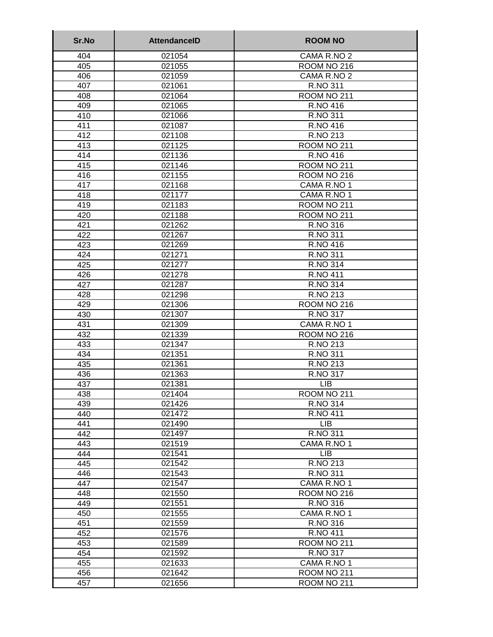| Sr.No      | <b>AttendanceID</b> | <b>ROOM NO</b>       |
|------------|---------------------|----------------------|
| 404        | 021054              | CAMA R.NO 2          |
| 405        | 021055              | ROOM NO 216          |
| 406        | 021059              | CAMA R.NO 2          |
| 407        | 021061              | <b>R.NO 311</b>      |
| 408        | 021064              | ROOM NO 211          |
| 409        | 021065              | <b>R.NO 416</b>      |
| 410        | 021066              | R.NO 311             |
| 411        | 021087              | R.NO 416             |
| 412        | 021108              | R.NO 213             |
| 413        | 021125              | ROOM NO 211          |
| 414        | 021136              | R.NO 416             |
| 415        | 021146              | ROOM NO 211          |
| 416        | 021155              | ROOM NO 216          |
| 417        | 021168              | CAMA R.NO 1          |
| 418        | 021177              | CAMA R.NO 1          |
| 419        | 021183              | ROOM NO 211          |
| 420        | 021188              | ROOM NO 211          |
| 421        | 021262              | R.NO 316             |
| 422        | 021267              | R.NO 311             |
| 423        | 021269              | R.NO 416             |
| 424        | 021271              | R.NO 311             |
| 425        | 021277              | <b>R.NO 314</b>      |
| 426        | 021278              | <b>R.NO 411</b>      |
| 427        | 021287              | R.NO 314             |
| 428        | 021298              | R.NO 213             |
| 429        | 021306              | ROOM NO 216          |
| 430        | 021307              | <b>R.NO 317</b>      |
| 431        | 021309              | CAMA R.NO 1          |
| 432        | 021339              | <b>ROOM NO 216</b>   |
| 433        | 021347<br>021351    | R.NO 213             |
| 434        |                     | R.NO 311             |
| 435        | 021361              | R.NO 213<br>R.NO 317 |
| 436<br>437 | 021363<br>021381    | <b>LIB</b>           |
| 438        | 021404              | ROOM NO 211          |
| 439        | 021426              | <b>R.NO 314</b>      |
| 440        | 021472              | <b>R.NO 411</b>      |
| 441        | 021490              | <b>LIB</b>           |
| 442        | 021497              | R.NO 311             |
| 443        | 021519              | CAMA R.NO 1          |
| 444        | 021541              | <b>LIB</b>           |
| 445        | 021542              | R.NO 213             |
| 446        | 021543              | R.NO 311             |
| 447        | 021547              | CAMA R.NO 1          |
| 448        | 021550              | ROOM NO 216          |
| 449        | 021551              | R.NO 316             |
| 450        | 021555              | CAMA R.NO 1          |
| 451        | 021559              | R.NO 316             |
| 452        | 021576              | R.NO 411             |
| 453        | 021589              | ROOM NO 211          |
| 454        | 021592              | R.NO 317             |
| 455        | 021633              | CAMA R.NO 1          |
| 456        | 021642              | ROOM NO 211          |
| 457        | 021656              | ROOM NO 211          |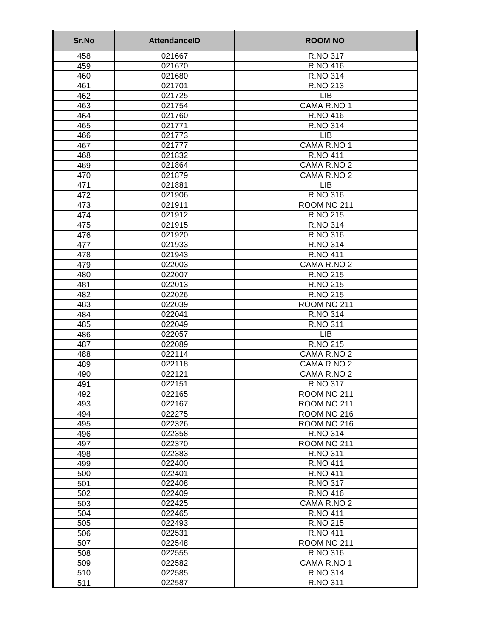| Sr.No      | <b>AttendanceID</b> | <b>ROOM NO</b>             |
|------------|---------------------|----------------------------|
| 458        | 021667              | R.NO 317                   |
| 459        | 021670              | R.NO 416                   |
| 460        | 021680              | R.NO 314                   |
| 461        | 021701              | R.NO 213                   |
| 462        | 021725              | <b>LIB</b>                 |
| 463        | 021754              | CAMA R.NO 1                |
| 464        | 021760              | R.NO 416                   |
| 465        | 021771              | <b>R.NO 314</b>            |
| 466        | 021773              | <b>LIB</b>                 |
| 467        | 021777              | CAMA R.NO 1                |
| 468        | 021832              | <b>R.NO 411</b>            |
| 469        | 021864              | CAMA R.NO 2                |
| 470        | 021879              | CAMA R.NO 2                |
| 471        | 021881              | <b>LIB</b>                 |
| 472        | 021906              | R.NO 316                   |
| 473        | 021911              | ROOM NO 211                |
| 474        | 021912              | R.NO 215                   |
| 475        | 021915              | R.NO 314                   |
| 476        | 021920              | R.NO 316                   |
| 477        | 021933              | R.NO 314                   |
| 478        | 021943              | <b>R.NO 411</b>            |
| 479        | 022003              | CAMA R.NO 2                |
| 480        | 022007              | R.NO 215                   |
| 481        | 022013              | R.NO 215                   |
| 482        | 022026              | R.NO 215                   |
| 483        | 022039              | ROOM NO 211                |
| 484        | 022041              | R.NO 314                   |
| 485        | 022049              | R.NO 311                   |
| 486        | 022057              | <b>LIB</b>                 |
| 487        | 022089              | R.NO 215                   |
| 488        | 022114              | CAMA R.NO 2                |
| 489        | 022118<br>022121    | CAMA R.NO 2<br>CAMA R.NO 2 |
| 490        | 022151              | R.NO 317                   |
| 491<br>492 |                     |                            |
| 493        | 022165<br>022167    | ROOM NO 211<br>ROOM NO 211 |
| 494        | 022275              | ROOM NO 216                |
| 495        | 022326              | ROOM NO 216                |
| 496        | 022358              | R.NO 314                   |
| 497        | 022370              | ROOM NO 211                |
| 498        | 022383              | R.NO 311                   |
| 499        | 022400              | <b>R.NO 411</b>            |
| 500        | 022401              | <b>R.NO 411</b>            |
| 501        | 022408              | R.NO 317                   |
| 502        | 022409              | R.NO 416                   |
| 503        | 022425              | CAMA R.NO 2                |
| 504        | 022465              | <b>R.NO 411</b>            |
| 505        | 022493              | R.NO 215                   |
| 506        | 022531              | R.NO 411                   |
| 507        | 022548              | ROOM NO 211                |
| 508        | 022555              | R.NO 316                   |
| 509        | 022582              | CAMA R.NO 1                |
| 510        | 022585              | R.NO 314                   |
| 511        | 022587              | R.NO 311                   |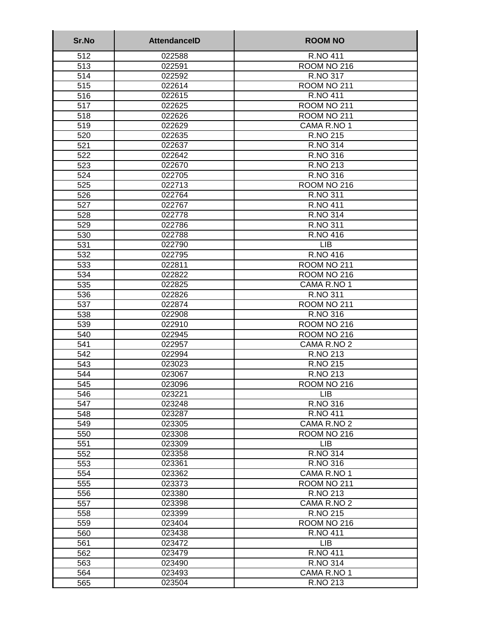| Sr.No      | <b>AttendancelD</b> | <b>ROOM NO</b>       |
|------------|---------------------|----------------------|
| 512        | 022588              | R.NO 411             |
| 513        | 022591              | ROOM NO 216          |
| 514        | 022592              | R.NO 317             |
| 515        | 022614              | ROOM NO 211          |
| 516        | 022615              | <b>R.NO 411</b>      |
| 517        | 022625              | ROOM NO 211          |
| 518        | 022626              | ROOM NO 211          |
| 519        | 022629              | CAMA R.NO 1          |
| 520        | 022635              | R.NO 215             |
| 521        | 022637              | <b>R.NO 314</b>      |
| 522        | 022642              | R.NO 316             |
| 523        | 022670              | R.NO 213             |
| 524        | 022705              | R.NO 316             |
| 525        | 022713              | ROOM NO 216          |
| 526        | 022764              | R.NO 311             |
| 527        | 022767              | <b>R.NO 411</b>      |
| 528        | 022778              | R.NO 314             |
| 529        | 022786              | R.NO 311             |
| 530        | 022788              | R.NO 416             |
| 531        | 022790              | <b>LIB</b>           |
| 532        | 022795              | R.NO 416             |
| 533        | 022811              | ROOM NO 211          |
| 534        | 022822              | <b>ROOM NO 216</b>   |
| 535        | 022825              | CAMA R.NO 1          |
| 536        | 022826              | R.NO 311             |
| 537        | 022874              | ROOM NO 211          |
| 538        | 022908              | R.NO 316             |
| 539        | 022910              | ROOM NO 216          |
| 540        | 022945              | ROOM NO 216          |
| 541        | 022957              | CAMA R.NO 2          |
| 542        | 022994<br>023023    | R.NO 213<br>R.NO 215 |
| 543        | 023067              | R.NO 213             |
| 544<br>545 | 023096              | ROOM NO 216          |
| 546        | 023221              | <b>LIB</b>           |
| 547        | 023248              | R.NO 316             |
| 548        | 023287              | <b>R.NO 411</b>      |
| 549        | 023305              | CAMA R.NO 2          |
| 550        | 023308              | ROOM NO 216          |
| 551        | 023309              | <b>LIB</b>           |
| 552        | 023358              | R.NO 314             |
| 553        | 023361              | R.NO 316             |
| 554        | 023362              | CAMA R.NO 1          |
| 555        | 023373              | ROOM NO 211          |
| 556        | 023380              | R.NO 213             |
| 557        | 023398              | CAMA R.NO 2          |
| 558        | 023399              | R.NO 215             |
| 559        | 023404              | ROOM NO 216          |
| 560        | 023438              | R.NO 411             |
| 561        | 023472              | <b>LIB</b>           |
| 562        | 023479              | <b>R.NO 411</b>      |
| 563        | 023490              | R.NO 314             |
| 564        | 023493              | CAMA R.NO 1          |
| 565        | 023504              | R.NO 213             |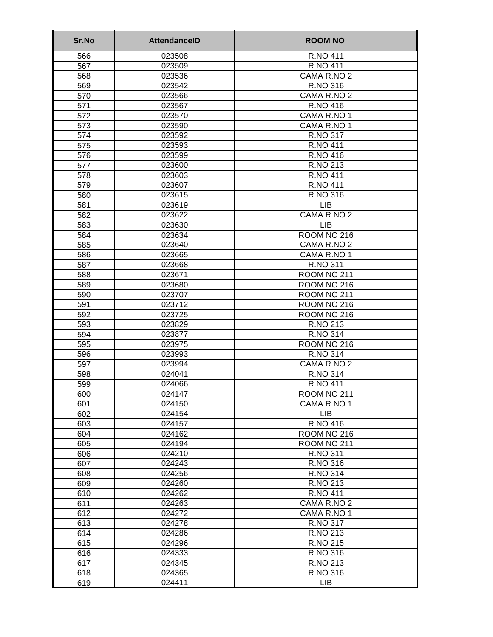| Sr.No      | <b>AttendanceID</b> | <b>ROOM NO</b>                 |
|------------|---------------------|--------------------------------|
| 566        | 023508              | R.NO 411                       |
| 567        | 023509              | <b>R.NO 411</b>                |
| 568        | 023536              | CAMA R.NO 2                    |
| 569        | 023542              | R.NO 316                       |
| 570        | 023566              | CAMA R.NO 2                    |
| 571        | 023567              | R.NO 416                       |
| 572        | 023570              | CAMA R.NO 1                    |
| 573        | 023590              | CAMA R.NO 1                    |
| 574        | 023592              | <b>R.NO 317</b>                |
| 575        | 023593              | <b>R.NO 411</b>                |
| 576        | 023599              | R.NO 416                       |
| 577        | 023600              | R.NO 213                       |
| 578        | 023603              | <b>R.NO 411</b>                |
| 579        | 023607              | <b>R.NO 411</b>                |
| 580        | 023615              | <b>R.NO 316</b>                |
| 581        | 023619              | <b>LIB</b>                     |
| 582        | 023622              | CAMA R.NO 2                    |
| 583        | 023630              | <b>LIB</b>                     |
| 584        | 023634              | ROOM NO 216                    |
| 585        | 023640              | CAMA R.NO 2                    |
| 586        | 023665              | CAMA R.NO 1                    |
| 587        | 023668              | R.NO 311                       |
| 588        | 023671              | ROOM NO 211                    |
| 589        | 023680              | ROOM NO 216                    |
| 590        | 023707              | ROOM NO 211                    |
| 591        | 023712              | ROOM NO 216                    |
| 592        | 023725              | ROOM NO 216                    |
| 593        | 023829              | R.NO 213                       |
| 594<br>595 | 023877              | R.NO 314                       |
|            | 023975<br>023993    | ROOM NO 216<br><b>R.NO 314</b> |
| 596<br>597 | 023994              | CAMA R.NO 2                    |
| 598        | 024041              | R.NO 314                       |
| 599        | 024066              | <b>R.NO 411</b>                |
| 600        | 024147              | ROOM NO 211                    |
| 601        | 024150              | CAMA R.NO 1                    |
| 602        | 024154              | <b>LIB</b>                     |
| 603        | 024157              | R.NO 416                       |
| 604        | 024162              | ROOM NO 216                    |
| 605        | 024194              | ROOM NO 211                    |
| 606        | 024210              | R.NO 311                       |
| 607        | 024243              | R.NO 316                       |
| 608        | 024256              | <b>R.NO 314</b>                |
| 609        | 024260              | R.NO 213                       |
| 610        | 024262              | <b>R.NO 411</b>                |
| 611        | 024263              | CAMA R.NO 2                    |
| 612        | 024272              | CAMA R.NO 1                    |
| 613        | 024278              | R.NO 317                       |
| 614        | 024286              | R.NO 213                       |
| 615        | 024296              | R.NO 215                       |
| 616        | 024333              | R.NO 316                       |
| 617        | 024345              | R.NO 213                       |
| 618        | 024365              | R.NO 316                       |
| 619        | 024411              | LIB                            |